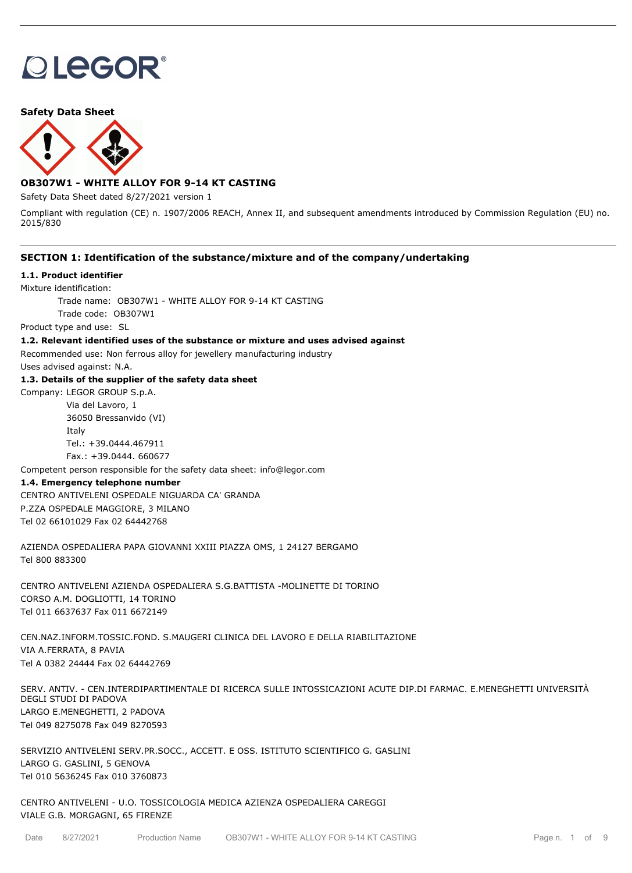# **OLEGOR®**

**Safety Data Sheet**



## **OB307W1 - WHITE ALLOY FOR 9-14 KT CASTING**

Safety Data Sheet dated 8/27/2021 version 1

Compliant with regulation (CE) n. 1907/2006 REACH, Annex II, and subsequent amendments introduced by Commission Regulation (EU) no. 2015/830

#### **SECTION 1: Identification of the substance/mixture and of the company/undertaking**

#### **1.1. Product identifier**

Mixture identification:

Trade name: OB307W1 - WHITE ALLOY FOR 9-14 KT CASTING

Trade code: OB307W1

Product type and use: SL

#### **1.2. Relevant identified uses of the substance or mixture and uses advised against**

Recommended use: Non ferrous alloy for jewellery manufacturing industry

Uses advised against: N.A.

#### **1.3. Details of the supplier of the safety data sheet**

Company: LEGOR GROUP S.p.A. Via del Lavoro, 1

> 36050 Bressanvido (VI) Italy Tel.: +39.0444.467911 Fax.: +39.0444. 660677

Competent person responsible for the safety data sheet: info@legor.com

#### **1.4. Emergency telephone number**

CENTRO ANTIVELENI OSPEDALE NIGUARDA CA' GRANDA P.ZZA OSPEDALE MAGGIORE, 3 MILANO Tel 02 66101029 Fax 02 64442768

AZIENDA OSPEDALIERA PAPA GIOVANNI XXIII PIAZZA OMS, 1 24127 BERGAMO Tel 800 883300

CENTRO ANTIVELENI AZIENDA OSPEDALIERA S.G.BATTISTA -MOLINETTE DI TORINO CORSO A.M. DOGLIOTTI, 14 TORINO Tel 011 6637637 Fax 011 6672149

CEN.NAZ.INFORM.TOSSIC.FOND. S.MAUGERI CLINICA DEL LAVORO E DELLA RIABILITAZIONE VIA A.FERRATA, 8 PAVIA Tel A 0382 24444 Fax 02 64442769

SERV. ANTIV. - CEN.INTERDIPARTIMENTALE DI RICERCA SULLE INTOSSICAZIONI ACUTE DIP.DI FARMAC. E.MENEGHETTI UNIVERSITÀ DEGLI STUDI DI PADOVA LARGO E.MENEGHETTI, 2 PADOVA Tel 049 8275078 Fax 049 8270593

SERVIZIO ANTIVELENI SERV.PR.SOCC., ACCETT. E OSS. ISTITUTO SCIENTIFICO G. GASLINI LARGO G. GASLINI, 5 GENOVA Tel 010 5636245 Fax 010 3760873

CENTRO ANTIVELENI - U.O. TOSSICOLOGIA MEDICA AZIENZA OSPEDALIERA CAREGGI VIALE G.B. MORGAGNI, 65 FIRENZE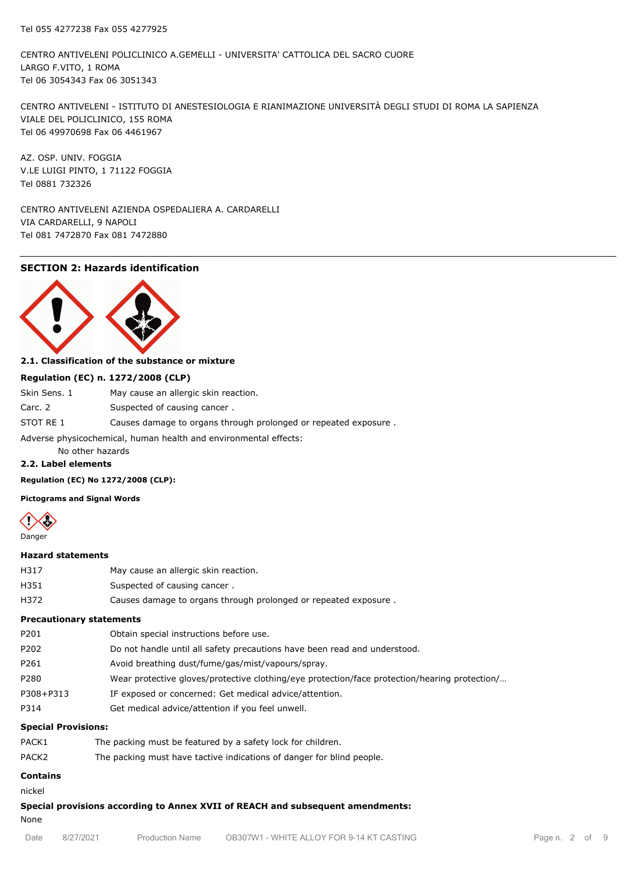CENTRO ANTIVELENI POLICLINICO A.GEMELLI - UNIVERSITA' CATTOLICA DEL SACRO CUORE LARGO F.VITO, 1 ROMA Tel 06 3054343 Fax 06 3051343

CENTRO ANTIVELENI - ISTITUTO DI ANESTESIOLOGIA E RIANIMAZIONE UNIVERSITÀ DEGLI STUDI DI ROMA LA SAPIENZA VIALE DEL POLICLINICO, 155 ROMA Tel 06 49970698 Fax 06 4461967

AZ. OSP. UNIV. FOGGIA V.LE LUIGI PINTO, 1 71122 FOGGIA Tel 0881 732326

CENTRO ANTIVELENI AZIENDA OSPEDALIERA A. CARDARELLI VIA CARDARELLI, 9 NAPOLI Tel 081 7472870 Fax 081 7472880

## **SECTION 2: Hazards identification**



#### **2.1. Classification of the substance or mixture**

#### **Regulation (EC) n. 1272/2008 (CLP)**

| Skin Sens. 1                                                     | May cause an allergic skin reaction.                            |  |  |  |
|------------------------------------------------------------------|-----------------------------------------------------------------|--|--|--|
| Carc. 2                                                          | Suspected of causing cancer.                                    |  |  |  |
| STOT RE 1                                                        | Causes damage to organs through prolonged or repeated exposure. |  |  |  |
| Adverse physicochemical, human health and environmental effects: |                                                                 |  |  |  |

No other hazards

#### **2.2. Label elements**

**Regulation (EC) No 1272/2008 (CLP):**

**Pictograms and Signal Words**



#### **Hazard statements**

| H317 | May cause an allergic skin reaction.                            |
|------|-----------------------------------------------------------------|
| H351 | Suspected of causing cancer.                                    |
| H372 | Causes damage to organs through prolonged or repeated exposure. |

## **Precautionary statements**

| P201      | Obtain special instructions before use.                                                       |
|-----------|-----------------------------------------------------------------------------------------------|
| P202      | Do not handle until all safety precautions have been read and understood.                     |
| P261      | Avoid breathing dust/fume/gas/mist/vapours/spray.                                             |
| P280      | Wear protective gloves/protective clothing/eye protection/face protection/hearing protection/ |
| P308+P313 | IF exposed or concerned: Get medical advice/attention.                                        |
| P314      | Get medical advice/attention if you feel unwell.                                              |
|           |                                                                                               |

#### **Special Provisions:**

| PACK1             | The packing must be featured by a safety lock for children.           |
|-------------------|-----------------------------------------------------------------------|
| PACK <sub>2</sub> | The packing must have tactive indications of danger for blind people. |

## **Contains**

nickel

**Special provisions according to Annex XVII of REACH and subsequent amendments:**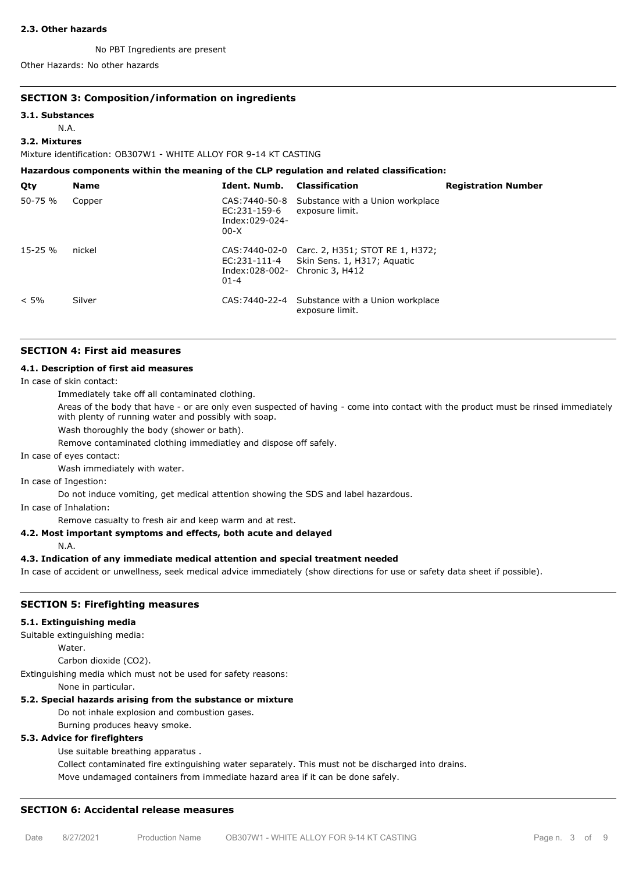#### **2.3. Other hazards**

No PBT Ingredients are present

Other Hazards: No other hazards

#### **SECTION 3: Composition/information on ingredients**

#### **3.1. Substances**

N.A.

#### **3.2. Mixtures**

Mixture identification: OB307W1 - WHITE ALLOY FOR 9-14 KT CASTING

**Hazardous components within the meaning of the CLP regulation and related classification:**

| Qty     | <b>Name</b> | Ident. Numb.                               | <b>Classification</b>                                                                      | <b>Registration Number</b> |
|---------|-------------|--------------------------------------------|--------------------------------------------------------------------------------------------|----------------------------|
| 50-75 % | Copper      | EC:231-159-6<br>Index:029-024-<br>$00-X$   | CAS: 7440-50-8 Substance with a Union workplace<br>exposure limit.                         |                            |
| 15-25 % | nickel      | Index:028-002- Chronic 3, H412<br>$01 - 4$ | CAS: 7440-02-0 Carc. 2, H351; STOT RE 1, H372;<br>EC:231-111-4 Skin Sens. 1, H317; Aguatic |                            |
| $< 5\%$ | Silver      |                                            | CAS: 7440-22-4 Substance with a Union workplace<br>exposure limit.                         |                            |

#### **SECTION 4: First aid measures**

#### **4.1. Description of first aid measures**

In case of skin contact:

Immediately take off all contaminated clothing.

Areas of the body that have - or are only even suspected of having - come into contact with the product must be rinsed immediately with plenty of running water and possibly with soap.

Wash thoroughly the body (shower or bath).

Remove contaminated clothing immediatley and dispose off safely.

In case of eyes contact:

Wash immediately with water.

In case of Ingestion:

Do not induce vomiting, get medical attention showing the SDS and label hazardous.

In case of Inhalation:

Remove casualty to fresh air and keep warm and at rest.

#### **4.2. Most important symptoms and effects, both acute and delayed**

N.A.

## **4.3. Indication of any immediate medical attention and special treatment needed**

In case of accident or unwellness, seek medical advice immediately (show directions for use or safety data sheet if possible).

#### **SECTION 5: Firefighting measures**

#### **5.1. Extinguishing media**

Suitable extinguishing media:

Water.

Carbon dioxide (CO2).

Extinguishing media which must not be used for safety reasons:

None in particular.

## **5.2. Special hazards arising from the substance or mixture**

Do not inhale explosion and combustion gases.

Burning produces heavy smoke.

## **5.3. Advice for firefighters**

Use suitable breathing apparatus .

Collect contaminated fire extinguishing water separately. This must not be discharged into drains.

Move undamaged containers from immediate hazard area if it can be done safely.

## **SECTION 6: Accidental release measures**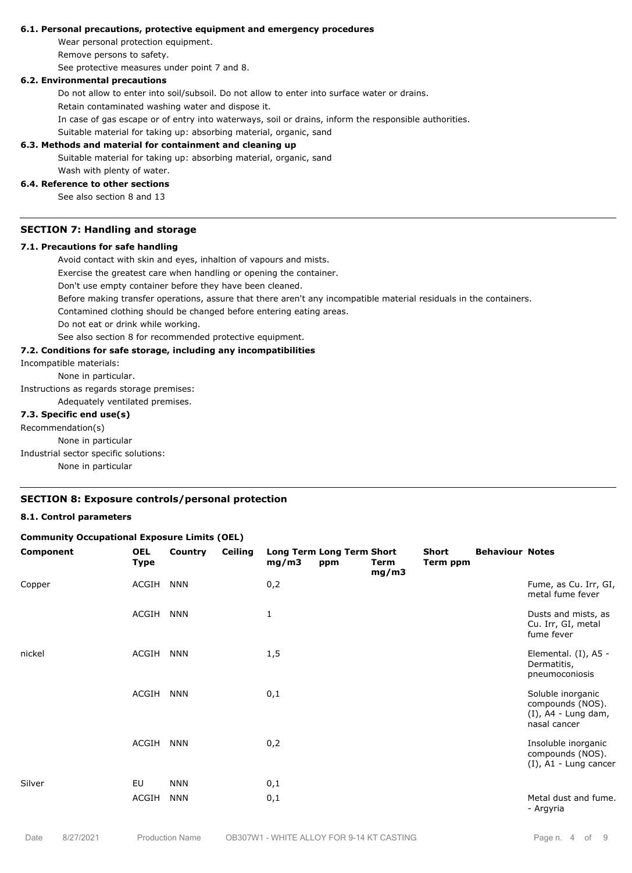#### **6.1. Personal precautions, protective equipment and emergency procedures**

Wear personal protection equipment.

Remove persons to safety.

See protective measures under point 7 and 8.

#### **6.2. Environmental precautions**

Do not allow to enter into soil/subsoil. Do not allow to enter into surface water or drains.

Retain contaminated washing water and dispose it.

In case of gas escape or of entry into waterways, soil or drains, inform the responsible authorities.

Suitable material for taking up: absorbing material, organic, sand

#### **6.3. Methods and material for containment and cleaning up**

Suitable material for taking up: absorbing material, organic, sand Wash with plenty of water.

## **6.4. Reference to other sections**

See also section 8 and 13

#### **SECTION 7: Handling and storage**

#### **7.1. Precautions for safe handling**

Avoid contact with skin and eyes, inhaltion of vapours and mists.

Exercise the greatest care when handling or opening the container.

Don't use empty container before they have been cleaned.

Before making transfer operations, assure that there aren't any incompatible material residuals in the containers.

Contamined clothing should be changed before entering eating areas.

Do not eat or drink while working.

See also section 8 for recommended protective equipment.

#### **7.2. Conditions for safe storage, including any incompatibilities**

Incompatible materials:

None in particular.

Instructions as regards storage premises:

Adequately ventilated premises.

## **7.3. Specific end use(s)**

Recommendation(s)

None in particular

Industrial sector specific solutions:

None in particular

## **SECTION 8: Exposure controls/personal protection**

#### **8.1. Control parameters**

#### **Community Occupational Exposure Limits (OEL)**

| Component | <b>OEL</b><br>Type | <b>Country</b> | <b>Ceiling</b> | mg/m3 | Long Term Long Term Short<br>ppm | Term<br>mg/m3 | Short<br>Term ppm | <b>Behaviour Notes</b> |                                                                                 |
|-----------|--------------------|----------------|----------------|-------|----------------------------------|---------------|-------------------|------------------------|---------------------------------------------------------------------------------|
| Copper    | ACGIH              | <b>NNN</b>     |                | 0,2   |                                  |               |                   |                        | Fume, as Cu. Irr, GI,<br>metal fume fever                                       |
|           | ACGIH              | <b>NNN</b>     |                | 1     |                                  |               |                   |                        | Dusts and mists, as<br>Cu. Irr, GI, metal<br>fume fever                         |
| nickel    | ACGIH              | <b>NNN</b>     |                | 1,5   |                                  |               |                   |                        | Elemental. (I), A5 -<br>Dermatitis,<br>pneumoconiosis                           |
|           | ACGIH              | <b>NNN</b>     |                | 0,1   |                                  |               |                   |                        | Soluble inorganic<br>compounds (NOS).<br>$(I)$ , A4 - Lung dam,<br>nasal cancer |
|           | ACGIH              | <b>NNN</b>     |                | 0,2   |                                  |               |                   |                        | Insoluble inorganic<br>compounds (NOS).<br>$(I)$ , A1 - Lung cancer             |
| Silver    | EU                 | <b>NNN</b>     |                | 0,1   |                                  |               |                   |                        |                                                                                 |
|           | ACGIH              | <b>NNN</b>     |                | 0,1   |                                  |               |                   |                        | Metal dust and fume.<br>- Argyria                                               |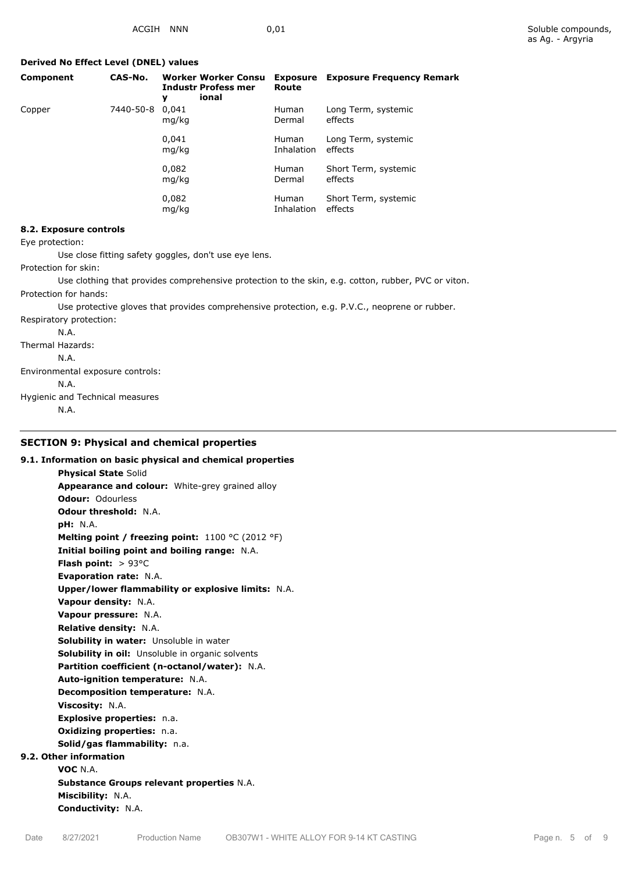## **Derived No Effect Level (DNEL) values**

| Component | CAS-No.   | <b>Worker Worker Consu</b><br><b>Industr Profess mer</b><br>ional<br>v | <b>Exposure</b><br>Route   | <b>Exposure Frequency Remark</b> |
|-----------|-----------|------------------------------------------------------------------------|----------------------------|----------------------------------|
| Copper    | 7440-50-8 | 0.041<br>mg/kg                                                         | <b>Human</b><br>Dermal     | Long Term, systemic<br>effects   |
|           |           | 0.041<br>mg/kg                                                         | <b>Human</b><br>Inhalation | Long Term, systemic<br>effects   |
|           |           | 0,082<br>mg/kg                                                         | <b>Human</b><br>Dermal     | Short Term, systemic<br>effects  |
|           |           | 0,082<br>mg/kg                                                         | <b>Human</b><br>Inhalation | Short Term, systemic<br>effects  |

## **8.2. Exposure controls**

Eye protection:

Use close fitting safety goggles, don't use eye lens.

Protection for skin:

Use clothing that provides comprehensive protection to the skin, e.g. cotton, rubber, PVC or viton.

Protection for hands:

Use protective gloves that provides comprehensive protection, e.g. P.V.C., neoprene or rubber.

Respiratory protection:

N.A.

Thermal Hazards:

N.A. Environmental exposure controls:

N.A.

Hygienic and Technical measures

N.A.

## **SECTION 9: Physical and chemical properties**

| 9.1. Information on basic physical and chemical properties |
|------------------------------------------------------------|
| <b>Physical State Solid</b>                                |
| <b>Appearance and colour:</b> White-grey grained alloy     |
| <b>Odour: Odourless</b>                                    |
| <b>Odour threshold: N.A.</b>                               |
| <b>pH:</b> N.A.                                            |
| Melting point / freezing point: $1100 °C (2012 °F)$        |
| Initial boiling point and boiling range: N.A.              |
| <b>Flash point:</b> $> 93^{\circ}$ C                       |
| <b>Evaporation rate: N.A.</b>                              |
| Upper/lower flammability or explosive limits: N.A.         |
| Vapour density: N.A.                                       |
| Vapour pressure: N.A.                                      |
| <b>Relative density: N.A.</b>                              |
| Solubility in water: Unsoluble in water                    |
| Solubility in oil: Unsoluble in organic solvents           |
| Partition coefficient (n-octanol/water): N.A.              |
| Auto-ignition temperature: N.A.                            |
| <b>Decomposition temperature: N.A.</b>                     |
| Viscosity: N.A.                                            |
| Explosive properties: n.a.                                 |
| <b>Oxidizing properties: n.a.</b>                          |
| Solid/gas flammability: n.a.                               |
| 9.2. Other information                                     |
| VOC N.A.                                                   |
| <b>Substance Groups relevant properties N.A.</b>           |
| Miscibility: N.A.                                          |
| Conductivity: N.A.                                         |
|                                                            |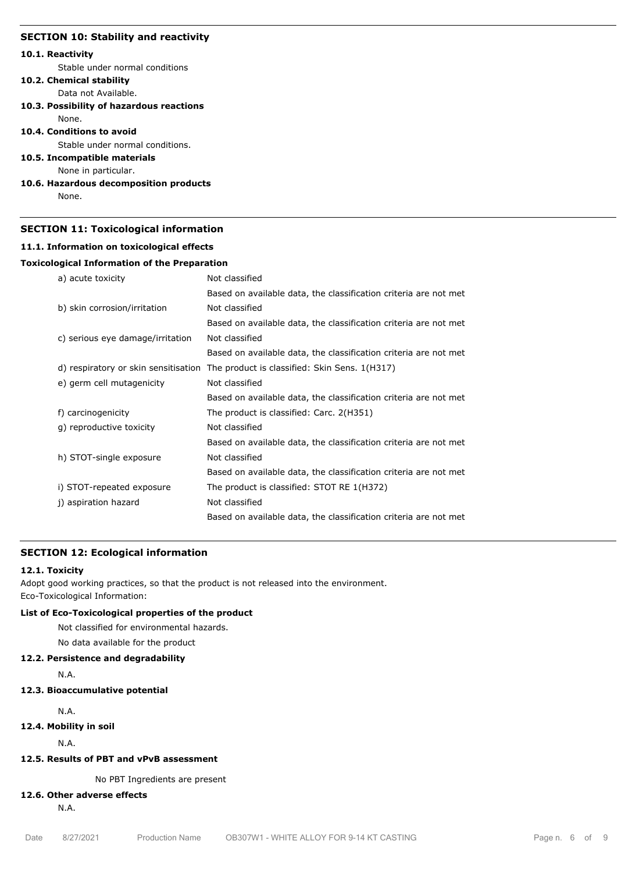#### **SECTION 10: Stability and reactivity**

#### **10.1. Reactivity**

Stable under normal conditions

## **10.2. Chemical stability**

Data not Available.

**10.3. Possibility of hazardous reactions** None.

#### **10.4. Conditions to avoid**

Stable under normal conditions.

#### **10.5. Incompatible materials**

None in particular.

#### **10.6. Hazardous decomposition products**

None.

#### **SECTION 11: Toxicological information**

#### **11.1. Information on toxicological effects**

#### **Toxicological Information of the Preparation**

| a) acute toxicity                    | Not classified                                                   |
|--------------------------------------|------------------------------------------------------------------|
|                                      | Based on available data, the classification criteria are not met |
| b) skin corrosion/irritation         | Not classified                                                   |
|                                      | Based on available data, the classification criteria are not met |
| c) serious eye damage/irritation     | Not classified                                                   |
|                                      | Based on available data, the classification criteria are not met |
| d) respiratory or skin sensitisation | The product is classified: Skin Sens. 1(H317)                    |
| e) germ cell mutagenicity            | Not classified                                                   |
|                                      | Based on available data, the classification criteria are not met |
| f) carcinogenicity                   | The product is classified: Carc. 2(H351)                         |
| g) reproductive toxicity             | Not classified                                                   |
|                                      | Based on available data, the classification criteria are not met |
| h) STOT-single exposure              | Not classified                                                   |
|                                      | Based on available data, the classification criteria are not met |
| i) STOT-repeated exposure            | The product is classified: STOT RE 1(H372)                       |
| j) aspiration hazard                 | Not classified                                                   |
|                                      | Based on available data, the classification criteria are not met |

#### **SECTION 12: Ecological information**

#### **12.1. Toxicity**

Adopt good working practices, so that the product is not released into the environment. Eco-Toxicological Information:

## **List of Eco-Toxicological properties of the product**

Not classified for environmental hazards.

No data available for the product

#### **12.2. Persistence and degradability**

N.A.

## **12.3. Bioaccumulative potential**

N.A.

**12.4. Mobility in soil**

N.A.

## **12.5. Results of PBT and vPvB assessment**

No PBT Ingredients are present

#### **12.6. Other adverse effects**

N.A.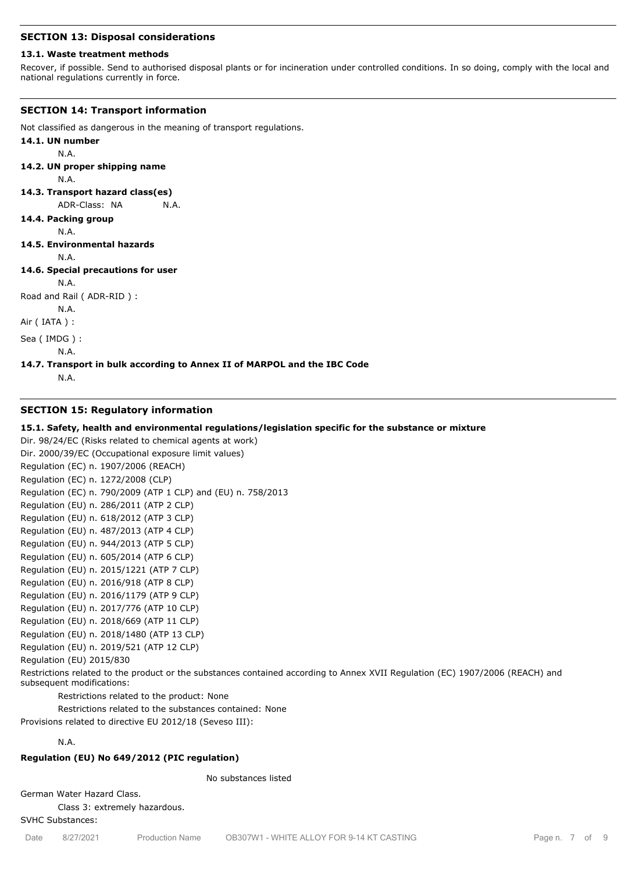#### **SECTION 13: Disposal considerations**

#### **13.1. Waste treatment methods**

Recover, if possible. Send to authorised disposal plants or for incineration under controlled conditions. In so doing, comply with the local and national regulations currently in force.

#### **SECTION 14: Transport information**

Not classified as dangerous in the meaning of transport regulations.

- **14.1. UN number**
	- N.A.
- **14.2. UN proper shipping name**

N.A.

**14.3. Transport hazard class(es)**

ADR-Class: NA N.A.

#### **14.4. Packing group**

N.A.

**14.5. Environmental hazards**

N.A.

## **14.6. Special precautions for user**

N.A.

Road and Rail ( ADR-RID ) :

N.A.

Air ( IATA ) :

Sea ( IMDG ) :

N.A.

#### **14.7. Transport in bulk according to Annex II of MARPOL and the IBC Code**

N.A.

#### **SECTION 15: Regulatory information**

#### **15.1. Safety, health and environmental regulations/legislation specific for the substance or mixture**

Dir. 98/24/EC (Risks related to chemical agents at work) Dir. 2000/39/EC (Occupational exposure limit values) Regulation (EC) n. 1907/2006 (REACH) Regulation (EC) n. 1272/2008 (CLP) Regulation (EC) n. 790/2009 (ATP 1 CLP) and (EU) n. 758/2013 Regulation (EU) n. 286/2011 (ATP 2 CLP) Regulation (EU) n. 618/2012 (ATP 3 CLP) Regulation (EU) n. 487/2013 (ATP 4 CLP) Regulation (EU) n. 944/2013 (ATP 5 CLP) Regulation (EU) n. 605/2014 (ATP 6 CLP) Regulation (EU) n. 2015/1221 (ATP 7 CLP) Regulation (EU) n. 2016/918 (ATP 8 CLP) Regulation (EU) n. 2016/1179 (ATP 9 CLP) Regulation (EU) n. 2017/776 (ATP 10 CLP) Regulation (EU) n. 2018/669 (ATP 11 CLP) Regulation (EU) n. 2018/1480 (ATP 13 CLP) Regulation (EU) n. 2019/521 (ATP 12 CLP) Regulation (EU) 2015/830 Restrictions related to the product or the substances contained according to Annex XVII Regulation (EC) 1907/2006 (REACH) and subsequent modifications: Restrictions related to the product: None

Restrictions related to the substances contained: None

Provisions related to directive EU 2012/18 (Seveso III):

## N.A.

## **Regulation (EU) No 649/2012 (PIC regulation)**

#### No substances listed

German Water Hazard Class.

Class 3: extremely hazardous.

SVHC Substances: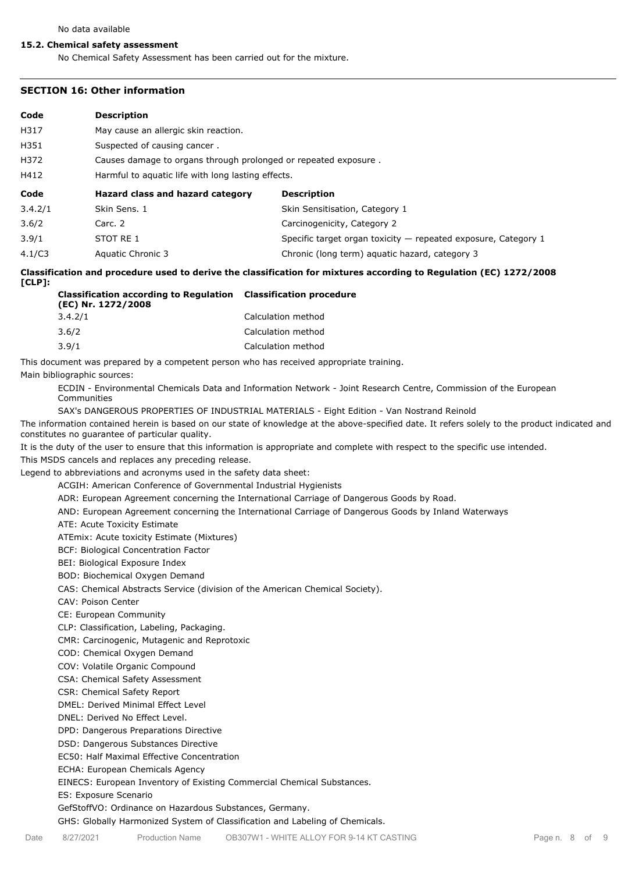#### **15.2. Chemical safety assessment**

No Chemical Safety Assessment has been carried out for the mixture.

#### **SECTION 16: Other information**

| Code    | <b>Description</b>                                              |                                                                  |  |  |  |
|---------|-----------------------------------------------------------------|------------------------------------------------------------------|--|--|--|
| H317    | May cause an allergic skin reaction.                            |                                                                  |  |  |  |
| H351    | Suspected of causing cancer.                                    |                                                                  |  |  |  |
| H372    | Causes damage to organs through prolonged or repeated exposure. |                                                                  |  |  |  |
| H412    | Harmful to aguatic life with long lasting effects.              |                                                                  |  |  |  |
| Code    | Hazard class and hazard category                                | <b>Description</b>                                               |  |  |  |
| 3.4.2/1 | Skin Sens. 1                                                    | Skin Sensitisation, Category 1                                   |  |  |  |
| 3.6/2   | Carc. 2                                                         | Carcinogenicity, Category 2                                      |  |  |  |
| 3.9/1   | STOT RE 1                                                       | Specific target organ toxicity $-$ repeated exposure, Category 1 |  |  |  |
| 4.1/C3  | Aquatic Chronic 3                                               | Chronic (long term) aquatic hazard, category 3                   |  |  |  |

**Classification and procedure used to derive the classification for mixtures according to Regulation (EC) 1272/2008 [CLP]:**

| <b>Classification according to Regulation</b> Classification procedure<br>(EC) Nr. 1272/2008 |                    |  |  |
|----------------------------------------------------------------------------------------------|--------------------|--|--|
| 3.4.2/1                                                                                      | Calculation method |  |  |
| 3.6/2                                                                                        | Calculation method |  |  |
| 3.9/1                                                                                        | Calculation method |  |  |

This document was prepared by a competent person who has received appropriate training.

Main bibliographic sources:

ECDIN - Environmental Chemicals Data and Information Network - Joint Research Centre, Commission of the European Communities

SAX's DANGEROUS PROPERTIES OF INDUSTRIAL MATERIALS - Eight Edition - Van Nostrand Reinold

The information contained herein is based on our state of knowledge at the above-specified date. It refers solely to the product indicated and constitutes no guarantee of particular quality.

It is the duty of the user to ensure that this information is appropriate and complete with respect to the specific use intended.

This MSDS cancels and replaces any preceding release.

Legend to abbreviations and acronyms used in the safety data sheet:

ACGIH: American Conference of Governmental Industrial Hygienists

ADR: European Agreement concerning the International Carriage of Dangerous Goods by Road.

AND: European Agreement concerning the International Carriage of Dangerous Goods by Inland Waterways

ATE: Acute Toxicity Estimate

ATEmix: Acute toxicity Estimate (Mixtures)

BCF: Biological Concentration Factor

BEI: Biological Exposure Index

BOD: Biochemical Oxygen Demand

CAS: Chemical Abstracts Service (division of the American Chemical Society).

CAV: Poison Center

CE: European Community

CLP: Classification, Labeling, Packaging.

CMR: Carcinogenic, Mutagenic and Reprotoxic

COD: Chemical Oxygen Demand

COV: Volatile Organic Compound

CSA: Chemical Safety Assessment

CSR: Chemical Safety Report

DMEL: Derived Minimal Effect Level

DNEL: Derived No Effect Level.

DPD: Dangerous Preparations Directive

DSD: Dangerous Substances Directive

EC50: Half Maximal Effective Concentration

ECHA: European Chemicals Agency

EINECS: European Inventory of Existing Commercial Chemical Substances.

ES: Exposure Scenario

GefStoffVO: Ordinance on Hazardous Substances, Germany.

GHS: Globally Harmonized System of Classification and Labeling of Chemicals.